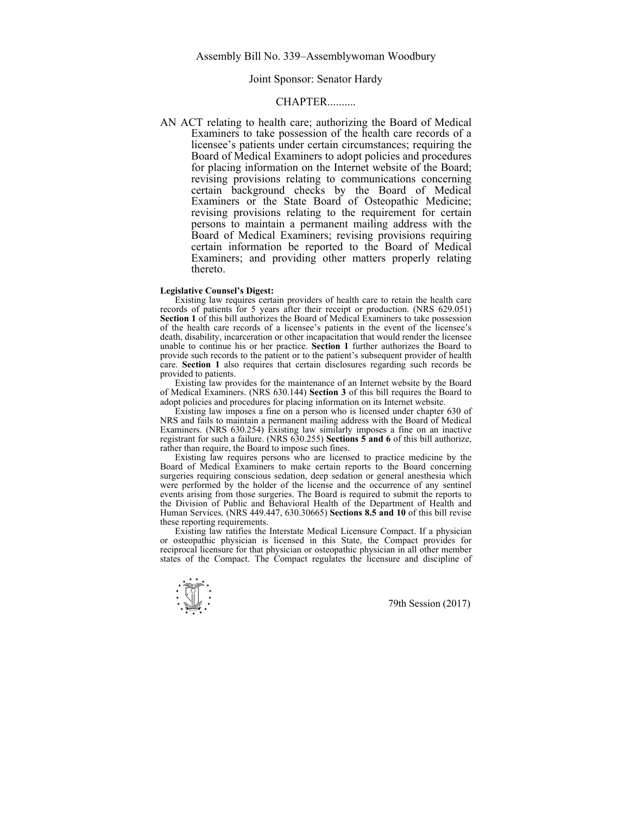## Joint Sponsor: Senator Hardy

## CHAPTER..........

AN ACT relating to health care; authorizing the Board of Medical Examiners to take possession of the health care records of a licensee's patients under certain circumstances; requiring the Board of Medical Examiners to adopt policies and procedures for placing information on the Internet website of the Board; revising provisions relating to communications concerning certain background checks by the Board of Medical Examiners or the State Board of Osteopathic Medicine; revising provisions relating to the requirement for certain persons to maintain a permanent mailing address with the Board of Medical Examiners; revising provisions requiring certain information be reported to the Board of Medical Examiners; and providing other matters properly relating thereto.

## **Legislative Counsel's Digest:**

 Existing law requires certain providers of health care to retain the health care records of patients for 5 years after their receipt or production. (NRS 629.051) **Section 1** of this bill authorizes the Board of Medical Examiners to take possession of the health care records of a licensee's patients in the event of the licensee's death, disability, incarceration or other incapacitation that would render the licensee unable to continue his or her practice. **Section 1** further authorizes the Board to provide such records to the patient or to the patient's subsequent provider of health care. **Section 1** also requires that certain disclosures regarding such records be provided to patients.

 Existing law provides for the maintenance of an Internet website by the Board of Medical Examiners. (NRS 630.144) **Section 3** of this bill requires the Board to adopt policies and procedures for placing information on its Internet website.

 Existing law imposes a fine on a person who is licensed under chapter 630 of NRS and fails to maintain a permanent mailing address with the Board of Medical Examiners. (NRS 630.254) Existing law similarly imposes a fine on an inactive registrant for such a failure. (NRS 630.255) **Sections 5 and 6** of this bill authorize, rather than require, the Board to impose such fines.

 Existing law requires persons who are licensed to practice medicine by the Board of Medical Examiners to make certain reports to the Board concerning surgeries requiring conscious sedation, deep sedation or general anesthesia which were performed by the holder of the license and the occurrence of any sentinel events arising from those surgeries. The Board is required to submit the reports to the Division of Public and Behavioral Health of the Department of Health and Human Services. (NRS 449.447, 630.30665) **Sections 8.5 and 10** of this bill revise these reporting requirements.

 Existing law ratifies the Interstate Medical Licensure Compact. If a physician or osteopathic physician is licensed in this State, the Compact provides for reciprocal licensure for that physician or osteopathic physician in all other member states of the Compact. The Compact regulates the licensure and discipline of

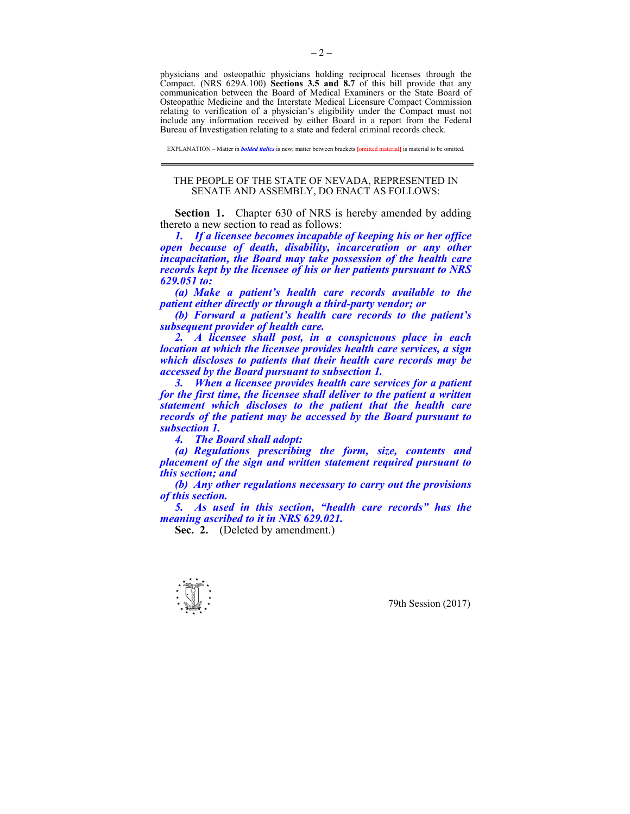physicians and osteopathic physicians holding reciprocal licenses through the Compact. (NRS 629A.100) **Sections 3.5 and 8.7** of this bill provide that any communication between the Board of Medical Examiners or the State Board of Osteopathic Medicine and the Interstate Medical Licensure Compact Commission relating to verification of a physician's eligibility under the Compact must not include any information received by either Board in a report from the Federal Bureau of Investigation relating to a state and federal criminal records check.

EXPLANATION – Matter in *bolded italics* is new; matter between brackets **[**omitted material**]** is material to be omitted.

## THE PEOPLE OF THE STATE OF NEVADA, REPRESENTED IN SENATE AND ASSEMBLY, DO ENACT AS FOLLOWS:

**Section 1.** Chapter 630 of NRS is hereby amended by adding thereto a new section to read as follows:

*1. If a licensee becomes incapable of keeping his or her office open because of death, disability, incarceration or any other incapacitation, the Board may take possession of the health care records kept by the licensee of his or her patients pursuant to NRS 629.051 to:* 

 *(a) Make a patient's health care records available to the patient either directly or through a third-party vendor; or* 

 *(b) Forward a patient's health care records to the patient's subsequent provider of health care.* 

 *2. A licensee shall post, in a conspicuous place in each location at which the licensee provides health care services, a sign which discloses to patients that their health care records may be accessed by the Board pursuant to subsection 1.* 

 *3. When a licensee provides health care services for a patient for the first time, the licensee shall deliver to the patient a written statement which discloses to the patient that the health care records of the patient may be accessed by the Board pursuant to subsection 1.* 

 *4. The Board shall adopt:* 

 *(a) Regulations prescribing the form, size, contents and placement of the sign and written statement required pursuant to this section; and* 

 *(b) Any other regulations necessary to carry out the provisions of this section.* 

 *5. As used in this section, "health care records" has the meaning ascribed to it in NRS 629.021.* 

Sec. 2. (Deleted by amendment.)

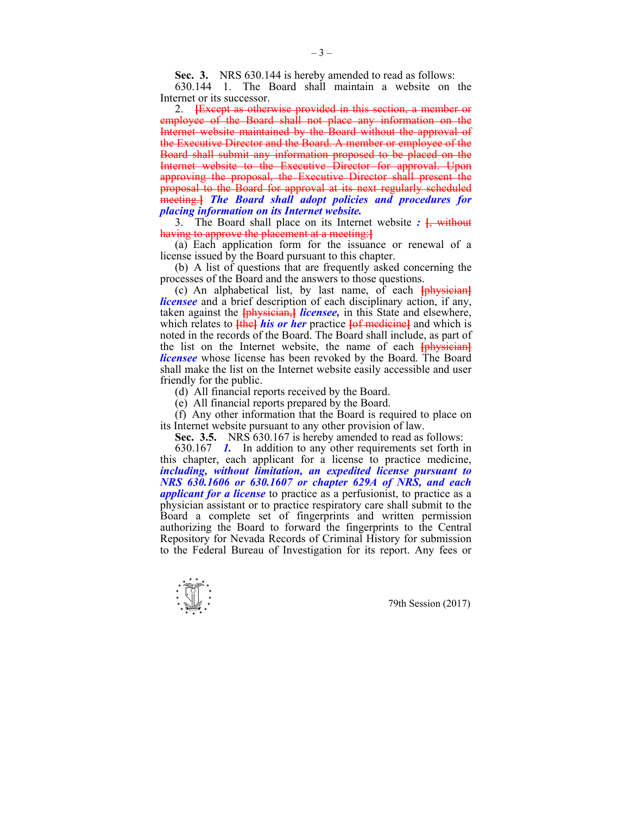**Sec. 3.** NRS 630.144 is hereby amended to read as follows:

 630.144 1. The Board shall maintain a website on the Internet or its successor.

 2. **[**Except as otherwise provided in this section, a member or employee of the Board shall not place any information on the Internet website maintained by the Board without the approval of the Executive Director and the Board. A member or employee of the Board shall submit any information proposed to be placed on the Internet website to the Executive Director for approval. Upon approving the proposal, the Executive Director shall present the proposal to the Board for approval at its next regularly scheduled meeting.**]** *The Board shall adopt policies and procedures for placing information on its Internet website.*

 3. The Board shall place on its Internet website *:* **[**, without having to approve the placement at a meeting:**]**

 (a) Each application form for the issuance or renewal of a license issued by the Board pursuant to this chapter.

 (b) A list of questions that are frequently asked concerning the processes of the Board and the answers to those questions.

 (c) An alphabetical list, by last name, of each **[**physician**]** *licensee* and a brief description of each disciplinary action, if any, taken against the **[**physician,**]** *licensee,* in this State and elsewhere, which relates to **[the]** *his or her* practice **[of medicine]** and which is noted in the records of the Board. The Board shall include, as part of the list on the Internet website, the name of each **[**physician**]** *licensee* whose license has been revoked by the Board. The Board shall make the list on the Internet website easily accessible and user friendly for the public.

(d) All financial reports received by the Board.

(e) All financial reports prepared by the Board.

 (f) Any other information that the Board is required to place on its Internet website pursuant to any other provision of law.

 **Sec. 3.5.** NRS 630.167 is hereby amended to read as follows:

 630.167 *1.* In addition to any other requirements set forth in this chapter, each applicant for a license to practice medicine, *including, without limitation, an expedited license pursuant to NRS 630.1606 or 630.1607 or chapter 629A of NRS, and each applicant for a license* to practice as a perfusionist, to practice as a physician assistant or to practice respiratory care shall submit to the Board a complete set of fingerprints and written permission authorizing the Board to forward the fingerprints to the Central Repository for Nevada Records of Criminal History for submission to the Federal Bureau of Investigation for its report. Any fees or

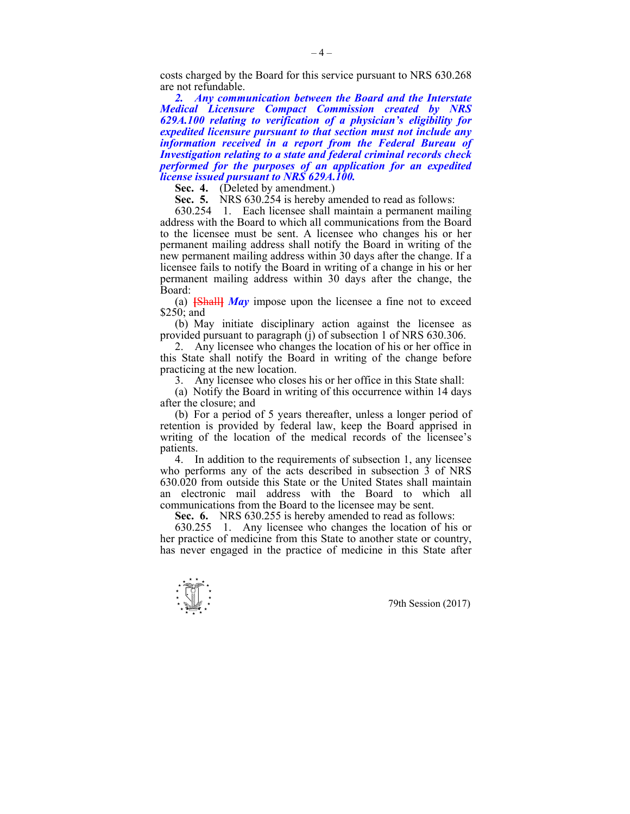costs charged by the Board for this service pursuant to NRS 630.268 are not refundable.

 *2. Any communication between the Board and the Interstate Medical Licensure Compact Commission created by NRS 629A.100 relating to verification of a physician's eligibility for expedited licensure pursuant to that section must not include any information received in a report from the Federal Bureau of Investigation relating to a state and federal criminal records check performed for the purposes of an application for an expedited license issued pursuant to NRS 629A.100.* 

**Sec. 4.** (Deleted by amendment.)

 **Sec. 5.** NRS 630.254 is hereby amended to read as follows:

 630.254 1. Each licensee shall maintain a permanent mailing address with the Board to which all communications from the Board to the licensee must be sent. A licensee who changes his or her permanent mailing address shall notify the Board in writing of the new permanent mailing address within 30 days after the change. If a licensee fails to notify the Board in writing of a change in his or her permanent mailing address within 30 days after the change, the Board:

 (a) **[**Shall**]** *May* impose upon the licensee a fine not to exceed \$250; and

 (b) May initiate disciplinary action against the licensee as provided pursuant to paragraph (j) of subsection 1 of NRS 630.306.

 2. Any licensee who changes the location of his or her office in this State shall notify the Board in writing of the change before practicing at the new location.

3. Any licensee who closes his or her office in this State shall:

 (a) Notify the Board in writing of this occurrence within 14 days after the closure; and

 (b) For a period of 5 years thereafter, unless a longer period of retention is provided by federal law, keep the Board apprised in writing of the location of the medical records of the licensee's patients.

 4. In addition to the requirements of subsection 1, any licensee who performs any of the acts described in subsection 3 of NRS 630.020 from outside this State or the United States shall maintain an electronic mail address with the Board to which all communications from the Board to the licensee may be sent.

 **Sec. 6.** NRS 630.255 is hereby amended to read as follows:

 630.255 1. Any licensee who changes the location of his or her practice of medicine from this State to another state or country, has never engaged in the practice of medicine in this State after

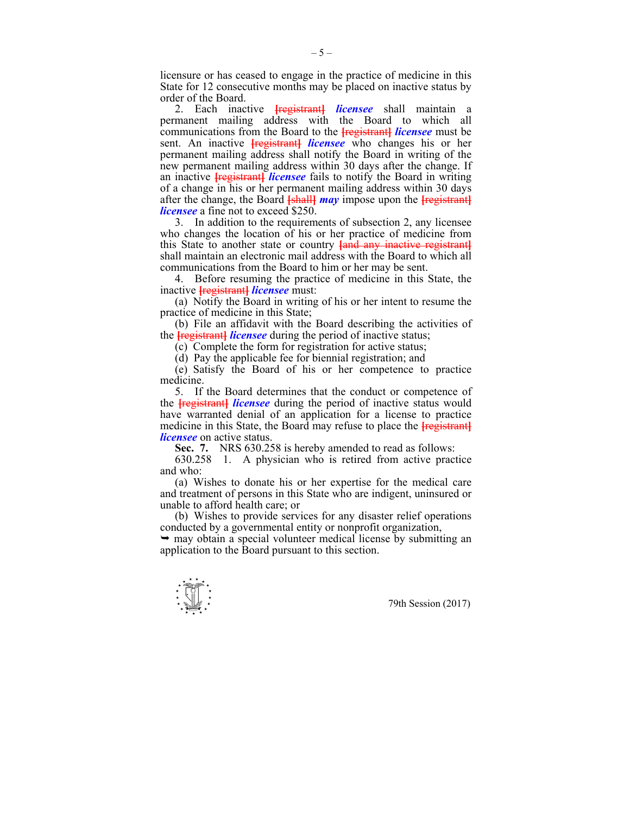licensure or has ceased to engage in the practice of medicine in this State for 12 consecutive months may be placed on inactive status by order of the Board.

 2. Each inactive **[**registrant**]** *licensee* shall maintain a permanent mailing address with the Board to which all communications from the Board to the **[**registrant**]** *licensee* must be sent. An inactive **[**registrant**]** *licensee* who changes his or her permanent mailing address shall notify the Board in writing of the new permanent mailing address within 30 days after the change. If an inactive **[registrant]** *licensee* fails to notify the Board in writing of a change in his or her permanent mailing address within 30 days after the change, the Board **[**shall**]** *may* impose upon the **[**registrant**]** *licensee* a fine not to exceed \$250.

 3. In addition to the requirements of subsection 2, any licensee who changes the location of his or her practice of medicine from this State to another state or country **[**and any inactive registrant**]** shall maintain an electronic mail address with the Board to which all communications from the Board to him or her may be sent.

 4. Before resuming the practice of medicine in this State, the inactive **[**registrant**]** *licensee* must:

 (a) Notify the Board in writing of his or her intent to resume the practice of medicine in this State;

 (b) File an affidavit with the Board describing the activities of the **[**registrant**]** *licensee* during the period of inactive status;

(c) Complete the form for registration for active status;

(d) Pay the applicable fee for biennial registration; and

 (e) Satisfy the Board of his or her competence to practice medicine.

 5. If the Board determines that the conduct or competence of the **[**registrant**]** *licensee* during the period of inactive status would have warranted denial of an application for a license to practice medicine in this State, the Board may refuse to place the **[**registrant**]** *licensee* on active status.

 **Sec. 7.** NRS 630.258 is hereby amended to read as follows:

 630.258 1. A physician who is retired from active practice and who:

 (a) Wishes to donate his or her expertise for the medical care and treatment of persons in this State who are indigent, uninsured or unable to afford health care; or

 (b) Wishes to provide services for any disaster relief operations conducted by a governmental entity or nonprofit organization,

 $\rightarrow$  may obtain a special volunteer medical license by submitting an application to the Board pursuant to this section.

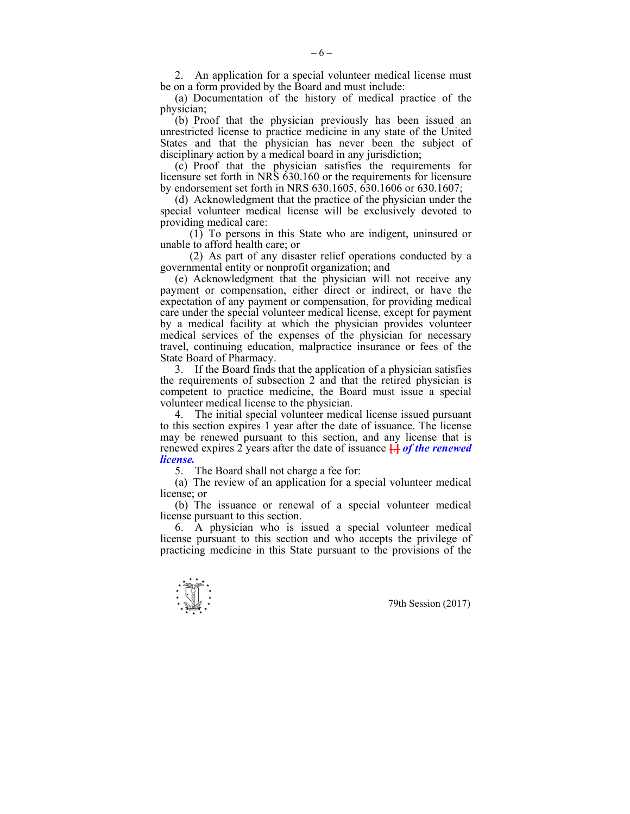2. An application for a special volunteer medical license must be on a form provided by the Board and must include:

 (a) Documentation of the history of medical practice of the physician;

 (b) Proof that the physician previously has been issued an unrestricted license to practice medicine in any state of the United States and that the physician has never been the subject of disciplinary action by a medical board in any jurisdiction;

 (c) Proof that the physician satisfies the requirements for licensure set forth in NRS 630.160 or the requirements for licensure by endorsement set forth in NRS 630.1605, 630.1606 or 630.1607;

 (d) Acknowledgment that the practice of the physician under the special volunteer medical license will be exclusively devoted to providing medical care:

 (1) To persons in this State who are indigent, uninsured or unable to afford health care; or

 (2) As part of any disaster relief operations conducted by a governmental entity or nonprofit organization; and

 (e) Acknowledgment that the physician will not receive any payment or compensation, either direct or indirect, or have the expectation of any payment or compensation, for providing medical care under the special volunteer medical license, except for payment by a medical facility at which the physician provides volunteer medical services of the expenses of the physician for necessary travel, continuing education, malpractice insurance or fees of the State Board of Pharmacy.

 3. If the Board finds that the application of a physician satisfies the requirements of subsection 2 and that the retired physician is competent to practice medicine, the Board must issue a special volunteer medical license to the physician.

 4. The initial special volunteer medical license issued pursuant to this section expires 1 year after the date of issuance. The license may be renewed pursuant to this section, and any license that is renewed expires 2 years after the date of issuance **[**.**]** *of the renewed license.*

5. The Board shall not charge a fee for:

 (a) The review of an application for a special volunteer medical license; or

 (b) The issuance or renewal of a special volunteer medical license pursuant to this section.

 6. A physician who is issued a special volunteer medical license pursuant to this section and who accepts the privilege of practicing medicine in this State pursuant to the provisions of the

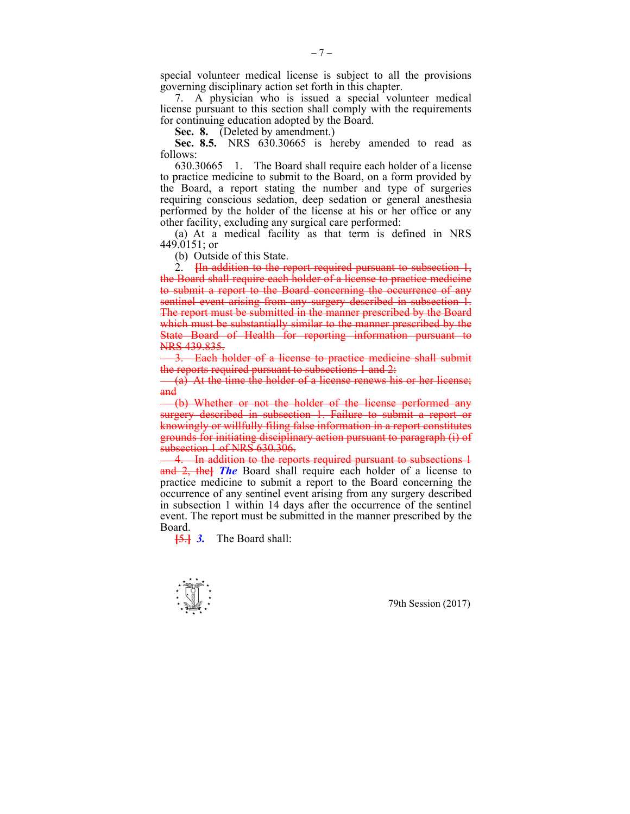special volunteer medical license is subject to all the provisions governing disciplinary action set forth in this chapter.

 7. A physician who is issued a special volunteer medical license pursuant to this section shall comply with the requirements for continuing education adopted by the Board.

Sec. 8. (Deleted by amendment.)

 **Sec. 8.5.** NRS 630.30665 is hereby amended to read as follows:

 630.30665 1. The Board shall require each holder of a license to practice medicine to submit to the Board, on a form provided by the Board, a report stating the number and type of surgeries requiring conscious sedation, deep sedation or general anesthesia performed by the holder of the license at his or her office or any other facility, excluding any surgical care performed:

 (a) At a medical facility as that term is defined in NRS 449.0151; or

(b) Outside of this State.

 2. **[**In addition to the report required pursuant to subsection 1, the Board shall require each holder of a license to practice medicine to submit a report to the Board concerning the occurrence of any sentinel event arising from any surgery described in subsection 1. The report must be submitted in the manner prescribed by the Board which must be substantially similar to the manner prescribed by the State Board of Health for reporting information pursuant to NRS 439.835.

 3. Each holder of a license to practice medicine shall submit the reports required pursuant to subsections 1 and 2:

 $(a)$  At the time the holder of a license renews his or her license; and

 (b) Whether or not the holder of the license performed any surgery described in subsection 1. Failure to submit a report or knowingly or willfully filing false information in a report constitutes grounds for initiating disciplinary action pursuant to paragraph (i) of subsection 1 of NRS 630.306.

 4. In addition to the reports required pursuant to subsections 1 and 2, the**]** *The* Board shall require each holder of a license to practice medicine to submit a report to the Board concerning the occurrence of any sentinel event arising from any surgery described in subsection 1 within 14 days after the occurrence of the sentinel event. The report must be submitted in the manner prescribed by the Board.

**[**5.**]** *3.* The Board shall:

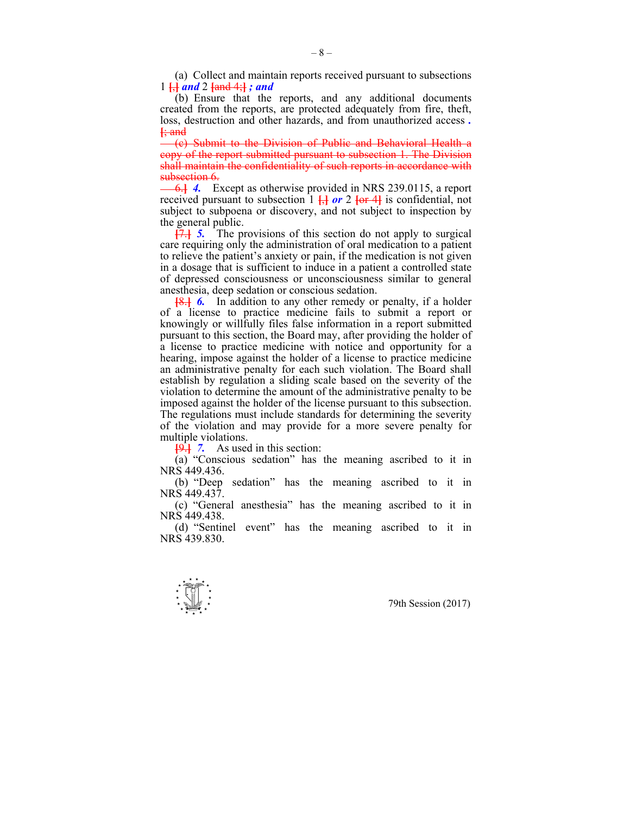(a) Collect and maintain reports received pursuant to subsections 1 **[**,**]** *and* 2 **[**and 4;**]** *; and*

 (b) Ensure that the reports, and any additional documents created from the reports, are protected adequately from fire, theft, loss, destruction and other hazards, and from unauthorized access *.*  **[**; and

 (c) Submit to the Division of Public and Behavioral Health a copy of the report submitted pursuant to subsection 1. The Division shall maintain the confidentiality of such reports in accordance with subsection 6.

 6.**]** *4.* Except as otherwise provided in NRS 239.0115, a report received pursuant to subsection  $1 \frac{1}{1}$  or  $2 \frac{1}{1}$  or  $4$  is confidential, not subject to subpoena or discovery, and not subject to inspection by the general public.

**[**7.**]** *5.* The provisions of this section do not apply to surgical care requiring only the administration of oral medication to a patient to relieve the patient's anxiety or pain, if the medication is not given in a dosage that is sufficient to induce in a patient a controlled state of depressed consciousness or unconsciousness similar to general anesthesia, deep sedation or conscious sedation.

**[**8.**]** *6.* In addition to any other remedy or penalty, if a holder of a license to practice medicine fails to submit a report or knowingly or willfully files false information in a report submitted pursuant to this section, the Board may, after providing the holder of a license to practice medicine with notice and opportunity for a hearing, impose against the holder of a license to practice medicine an administrative penalty for each such violation. The Board shall establish by regulation a sliding scale based on the severity of the violation to determine the amount of the administrative penalty to be imposed against the holder of the license pursuant to this subsection. The regulations must include standards for determining the severity of the violation and may provide for a more severe penalty for multiple violations.

**[**9.**]** *7.* As used in this section:

 (a) "Conscious sedation" has the meaning ascribed to it in NRS 449.436.

 (b) "Deep sedation" has the meaning ascribed to it in NRS 449.437.

 (c) "General anesthesia" has the meaning ascribed to it in NRS 449.438.

 (d) "Sentinel event" has the meaning ascribed to it in NRS 439.830.

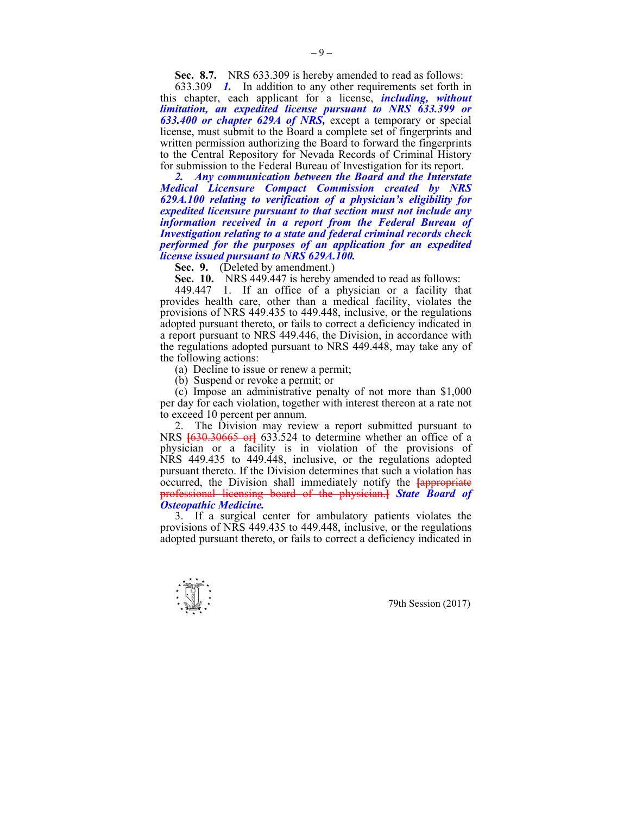**Sec. 8.7.** NRS 633.309 is hereby amended to read as follows:

 633.309 *1.* In addition to any other requirements set forth in this chapter, each applicant for a license, *including, without limitation, an expedited license pursuant to NRS 633.399 or 633.400 or chapter 629A of NRS,* except a temporary or special license, must submit to the Board a complete set of fingerprints and written permission authorizing the Board to forward the fingerprints to the Central Repository for Nevada Records of Criminal History for submission to the Federal Bureau of Investigation for its report.

 *2. Any communication between the Board and the Interstate Medical Licensure Compact Commission created by NRS 629A.100 relating to verification of a physician's eligibility for expedited licensure pursuant to that section must not include any information received in a report from the Federal Bureau of Investigation relating to a state and federal criminal records check performed for the purposes of an application for an expedited license issued pursuant to NRS 629A.100.* 

**Sec. 9.** (Deleted by amendment.)

 **Sec. 10.** NRS 449.447 is hereby amended to read as follows:

 449.447 1. If an office of a physician or a facility that provides health care, other than a medical facility, violates the provisions of NRS 449.435 to 449.448, inclusive, or the regulations adopted pursuant thereto, or fails to correct a deficiency indicated in a report pursuant to NRS 449.446, the Division, in accordance with the regulations adopted pursuant to NRS 449.448, may take any of the following actions:

(a) Decline to issue or renew a permit;

(b) Suspend or revoke a permit; or

 (c) Impose an administrative penalty of not more than \$1,000 per day for each violation, together with interest thereon at a rate not to exceed 10 percent per annum.

 2. The Division may review a report submitted pursuant to NRS **[**630.30665 or**]** 633.524 to determine whether an office of a physician or a facility is in violation of the provisions of NRS 449.435 to 449.448, inclusive, or the regulations adopted pursuant thereto. If the Division determines that such a violation has occurred, the Division shall immediately notify the **[**appropriate professional licensing board of the physician.**]** *State Board of Osteopathic Medicine.*

 3. If a surgical center for ambulatory patients violates the provisions of NRS 449.435 to 449.448, inclusive, or the regulations adopted pursuant thereto, or fails to correct a deficiency indicated in